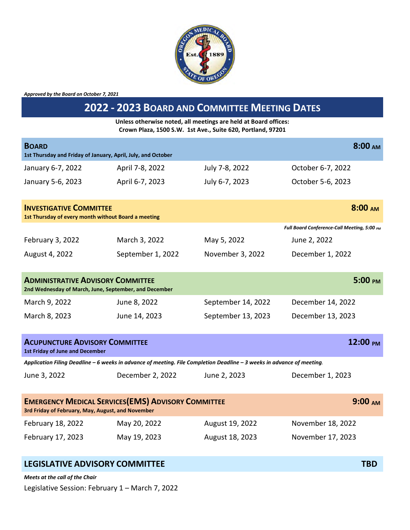

*Approved by the Board on October 7, 2021*

## **2022 - 2023 BOARD AND COMMITTEE MEETING DATES**

**Unless otherwise noted, all meetings are held at Board offices: Crown Plaza, 1500 S.W. 1st Ave., Suite 620, Portland, 97201** 

| 8:00 <sub>AM</sub><br><b>BOARD</b><br>1st Thursday and Friday of January, April, July, and October                                    |                   |                    |                                             |  |  |
|---------------------------------------------------------------------------------------------------------------------------------------|-------------------|--------------------|---------------------------------------------|--|--|
| January 6-7, 2022                                                                                                                     | April 7-8, 2022   | July 7-8, 2022     | October 6-7, 2022                           |  |  |
| January 5-6, 2023                                                                                                                     | April 6-7, 2023   | July 6-7, 2023     | October 5-6, 2023                           |  |  |
| 8:00 <sub>AM</sub><br><b>INVESTIGATIVE COMMITTEE</b><br>1st Thursday of every month without Board a meeting                           |                   |                    |                                             |  |  |
|                                                                                                                                       |                   |                    | Full Board Conference-Call Meeting, 5:00 PM |  |  |
| February 3, 2022                                                                                                                      | March 3, 2022     | May 5, 2022        | June 2, 2022                                |  |  |
| August 4, 2022                                                                                                                        | September 1, 2022 | November 3, 2022   | December 1, 2022                            |  |  |
| 5:00 PM<br><b>ADMINISTRATIVE ADVISORY COMMITTEE</b><br>2nd Wednesday of March, June, September, and December                          |                   |                    |                                             |  |  |
| March 9, 2022                                                                                                                         | June 8, 2022      | September 14, 2022 | December 14, 2022                           |  |  |
| March 8, 2023                                                                                                                         | June 14, 2023     | September 13, 2023 | December 13, 2023                           |  |  |
| 12:00 PM<br><b>ACUPUNCTURE ADVISORY COMMITTEE</b><br><b>1st Friday of June and December</b>                                           |                   |                    |                                             |  |  |
| Application Filing Deadline - 6 weeks in advance of meeting. File Completion Deadline - 3 weeks in advance of meeting.                |                   |                    |                                             |  |  |
| June 3, 2022                                                                                                                          | December 2, 2022  | June 2, 2023       | December 1, 2023                            |  |  |
| <b>EMERGENCY MEDICAL SERVICES (EMS) ADVISORY COMMITTEE</b><br>9:00 <sub>AM</sub><br>3rd Friday of February, May, August, and November |                   |                    |                                             |  |  |
| February 18, 2022                                                                                                                     | May 20, 2022      | August 19, 2022    | November 18, 2022                           |  |  |
| February 17, 2023                                                                                                                     | May 19, 2023      | August 18, 2023    | November 17, 2023                           |  |  |

## **LEGISLATIVE ADVISORY COMMITTEE TBD**

*Meets at the call of the Chair*

Legislative Session: February 1 – March 7, 2022